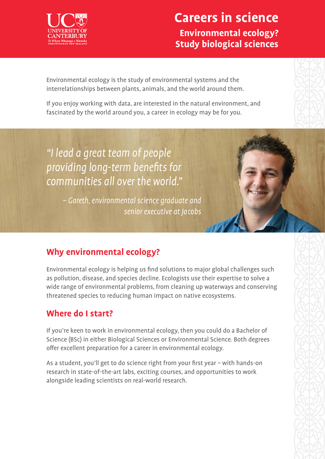

## **Careers in science Environmental ecology? Study biological sciences**

Environmental ecology is the study of environmental systems and the interrelationships between plants, animals, and the world around them.

If you enjoy working with data, are interested in the natural environment, and fascinated by the world around you, a career in ecology may be for you.

"I lead a great team of people providing long-term benefits for communities all over the world."

> – Gareth, environmental science graduate and senior executive at Jacobs

### **Why environmental ecology?**

Environmental ecology is helping us find solutions to major global challenges such as pollution, disease, and species decline. Ecologists use their expertise to solve a wide range of environmental problems, from cleaning up waterways and conserving threatened species to reducing human impact on native ecosystems.

#### **Where do I start?**

If you're keen to work in environmental ecology, then you could do a Bachelor of Science (BSc) in either Biological Sciences or Environmental Science. Both degrees offer excellent preparation for a career in environmental ecology.

As a student, you'll get to do science right from your first year – with hands-on research in state-of-the-art labs, exciting courses, and opportunities to work alongside leading scientists on real-world research.